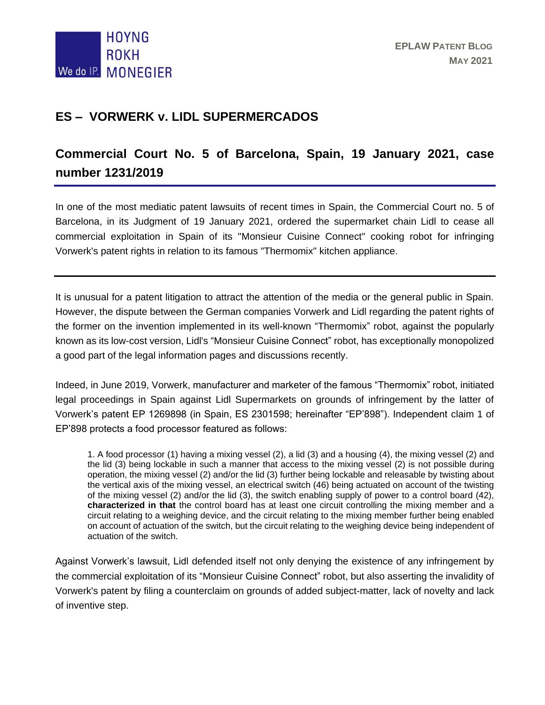

## **ES – VORWERK v. LIDL SUPERMERCADOS**

## **Commercial Court No. 5 of Barcelona, Spain, 19 January 2021, case number 1231/2019**

In one of the most mediatic patent lawsuits of recent times in Spain, the Commercial Court no. 5 of Barcelona, in its Judgment of 19 January 2021, ordered the supermarket chain Lidl to cease all commercial exploitation in Spain of its "Monsieur Cuisine Connect" cooking robot for infringing Vorwerk's patent rights in relation to its famous "Thermomix" kitchen appliance.

It is unusual for a patent litigation to attract the attention of the media or the general public in Spain. However, the dispute between the German companies Vorwerk and Lidl regarding the patent rights of the former on the invention implemented in its well-known "Thermomix" robot, against the popularly known as its low-cost version, Lidl's "Monsieur Cuisine Connect" robot, has exceptionally monopolized a good part of the legal information pages and discussions recently.

Indeed, in June 2019, Vorwerk, manufacturer and marketer of the famous "Thermomix" robot, initiated legal proceedings in Spain against Lidl Supermarkets on grounds of infringement by the latter of Vorwerk's patent EP 1269898 (in Spain, ES 2301598; hereinafter "EP'898"). Independent claim 1 of EP'898 protects a food processor featured as follows:

1. A food processor (1) having a mixing vessel (2), a lid (3) and a housing (4), the mixing vessel (2) and the lid (3) being lockable in such a manner that access to the mixing vessel (2) is not possible during operation, the mixing vessel (2) and/or the lid (3) further being lockable and releasable by twisting about the vertical axis of the mixing vessel, an electrical switch (46) being actuated on account of the twisting of the mixing vessel (2) and/or the lid (3), the switch enabling supply of power to a control board (42), **characterized in that** the control board has at least one circuit controlling the mixing member and a circuit relating to a weighing device, and the circuit relating to the mixing member further being enabled on account of actuation of the switch, but the circuit relating to the weighing device being independent of actuation of the switch.

Against Vorwerk's lawsuit, Lidl defended itself not only denying the existence of any infringement by the commercial exploitation of its "Monsieur Cuisine Connect" robot, but also asserting the invalidity of Vorwerk's patent by filing a counterclaim on grounds of added subject-matter, lack of novelty and lack of inventive step.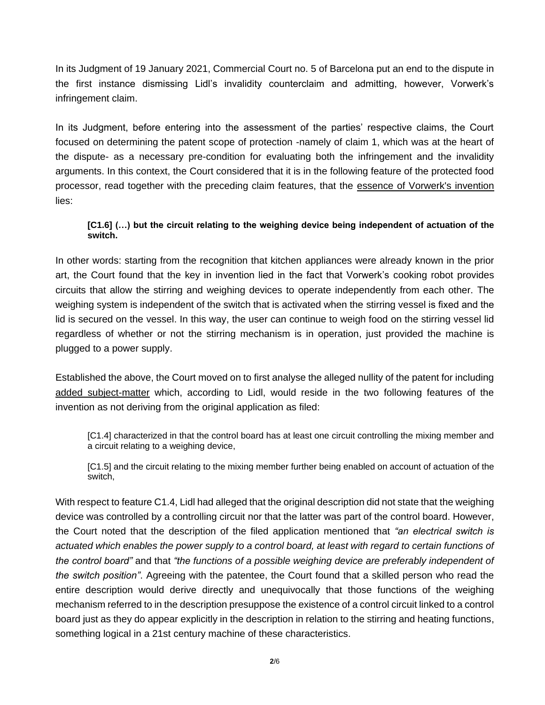In its Judgment of 19 January 2021, Commercial Court no. 5 of Barcelona put an end to the dispute in the first instance dismissing Lidl's invalidity counterclaim and admitting, however, Vorwerk's infringement claim.

In its Judgment, before entering into the assessment of the parties' respective claims, the Court focused on determining the patent scope of protection -namely of claim 1, which was at the heart of the dispute- as a necessary pre-condition for evaluating both the infringement and the invalidity arguments. In this context, the Court considered that it is in the following feature of the protected food processor, read together with the preceding claim features, that the essence of Vorwerk's invention lies:

## **[C1.6] (…) but the circuit relating to the weighing device being independent of actuation of the switch.**

In other words: starting from the recognition that kitchen appliances were already known in the prior art, the Court found that the key in invention lied in the fact that Vorwerk's cooking robot provides circuits that allow the stirring and weighing devices to operate independently from each other. The weighing system is independent of the switch that is activated when the stirring vessel is fixed and the lid is secured on the vessel. In this way, the user can continue to weigh food on the stirring vessel lid regardless of whether or not the stirring mechanism is in operation, just provided the machine is plugged to a power supply.

Established the above, the Court moved on to first analyse the alleged nullity of the patent for including added subject-matter which, according to Lidl, would reside in the two following features of the invention as not deriving from the original application as filed:

[C1.4] characterized in that the control board has at least one circuit controlling the mixing member and a circuit relating to a weighing device,

[C1.5] and the circuit relating to the mixing member further being enabled on account of actuation of the switch,

With respect to feature C1.4, Lidl had alleged that the original description did not state that the weighing device was controlled by a controlling circuit nor that the latter was part of the control board. However, the Court noted that the description of the filed application mentioned that *"an electrical switch is actuated which enables the power supply to a control board, at least with regard to certain functions of the control board"* and that *"the functions of a possible weighing device are preferably independent of the switch position"*. Agreeing with the patentee, the Court found that a skilled person who read the entire description would derive directly and unequivocally that those functions of the weighing mechanism referred to in the description presuppose the existence of a control circuit linked to a control board just as they do appear explicitly in the description in relation to the stirring and heating functions, something logical in a 21st century machine of these characteristics.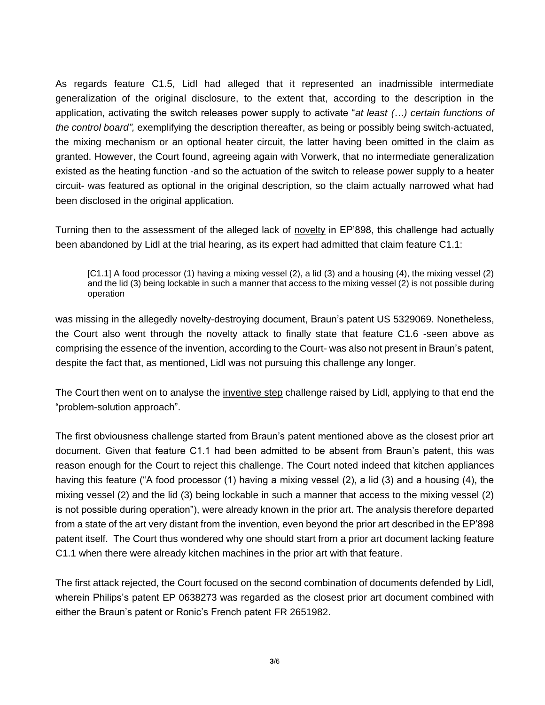As regards feature C1.5, Lidl had alleged that it represented an inadmissible intermediate generalization of the original disclosure, to the extent that, according to the description in the application, activating the switch releases power supply to activate "*at least (…) certain functions of the control board",* exemplifying the description thereafter, as being or possibly being switch-actuated, the mixing mechanism or an optional heater circuit, the latter having been omitted in the claim as granted. However, the Court found, agreeing again with Vorwerk, that no intermediate generalization existed as the heating function -and so the actuation of the switch to release power supply to a heater circuit- was featured as optional in the original description, so the claim actually narrowed what had been disclosed in the original application.

Turning then to the assessment of the alleged lack of novelty in EP'898, this challenge had actually been abandoned by Lidl at the trial hearing, as its expert had admitted that claim feature C1.1:

[C1.1] A food processor (1) having a mixing vessel (2), a lid (3) and a housing (4), the mixing vessel (2) and the lid (3) being lockable in such a manner that access to the mixing vessel (2) is not possible during operation

was missing in the allegedly novelty-destroying document, Braun's patent US 5329069. Nonetheless, the Court also went through the novelty attack to finally state that feature C1.6 -seen above as comprising the essence of the invention, according to the Court- was also not present in Braun's patent, despite the fact that, as mentioned, Lidl was not pursuing this challenge any longer.

The Court then went on to analyse the inventive step challenge raised by Lidl, applying to that end the "problem-solution approach".

The first obviousness challenge started from Braun's patent mentioned above as the closest prior art document. Given that feature C1.1 had been admitted to be absent from Braun's patent, this was reason enough for the Court to reject this challenge. The Court noted indeed that kitchen appliances having this feature ("A food processor (1) having a mixing vessel (2), a lid (3) and a housing (4), the mixing vessel (2) and the lid (3) being lockable in such a manner that access to the mixing vessel (2) is not possible during operation"), were already known in the prior art. The analysis therefore departed from a state of the art very distant from the invention, even beyond the prior art described in the EP'898 patent itself. The Court thus wondered why one should start from a prior art document lacking feature C1.1 when there were already kitchen machines in the prior art with that feature.

The first attack rejected, the Court focused on the second combination of documents defended by Lidl, wherein Philips's patent EP 0638273 was regarded as the closest prior art document combined with either the Braun's patent or Ronic's French patent FR 2651982.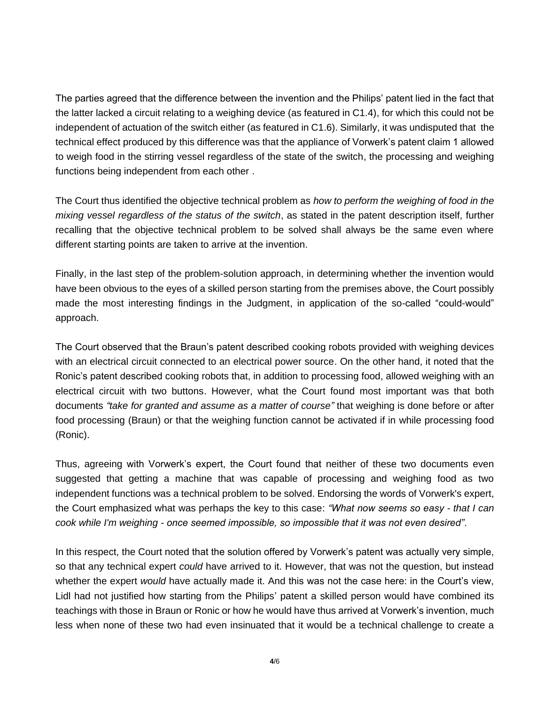The parties agreed that the difference between the invention and the Philips' patent lied in the fact that the latter lacked a circuit relating to a weighing device (as featured in C1.4), for which this could not be independent of actuation of the switch either (as featured in C1.6). Similarly, it was undisputed that the technical effect produced by this difference was that the appliance of Vorwerk's patent claim 1 allowed to weigh food in the stirring vessel regardless of the state of the switch, the processing and weighing functions being independent from each other .

The Court thus identified the objective technical problem as *how to perform the weighing of food in the mixing vessel regardless of the status of the switch*, as stated in the patent description itself, further recalling that the objective technical problem to be solved shall always be the same even where different starting points are taken to arrive at the invention.

Finally, in the last step of the problem-solution approach, in determining whether the invention would have been obvious to the eyes of a skilled person starting from the premises above, the Court possibly made the most interesting findings in the Judgment, in application of the so-called "could-would" approach.

The Court observed that the Braun's patent described cooking robots provided with weighing devices with an electrical circuit connected to an electrical power source. On the other hand, it noted that the Ronic's patent described cooking robots that, in addition to processing food, allowed weighing with an electrical circuit with two buttons. However, what the Court found most important was that both documents *"take for granted and assume as a matter of course"* that weighing is done before or after food processing (Braun) or that the weighing function cannot be activated if in while processing food (Ronic).

Thus, agreeing with Vorwerk's expert, the Court found that neither of these two documents even suggested that getting a machine that was capable of processing and weighing food as two independent functions was a technical problem to be solved. Endorsing the words of Vorwerk's expert, the Court emphasized what was perhaps the key to this case: *"What now seems so easy - that I can cook while I'm weighing - once seemed impossible, so impossible that it was not even desired"*.

In this respect, the Court noted that the solution offered by Vorwerk's patent was actually very simple, so that any technical expert *could* have arrived to it. However, that was not the question, but instead whether the expert *would* have actually made it. And this was not the case here: in the Court's view, Lidl had not justified how starting from the Philips' patent a skilled person would have combined its teachings with those in Braun or Ronic or how he would have thus arrived at Vorwerk's invention, much less when none of these two had even insinuated that it would be a technical challenge to create a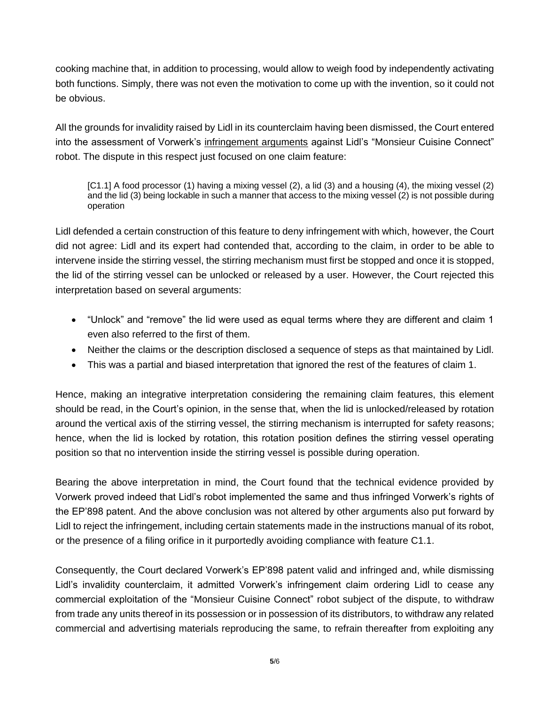cooking machine that, in addition to processing, would allow to weigh food by independently activating both functions. Simply, there was not even the motivation to come up with the invention, so it could not be obvious.

All the grounds for invalidity raised by Lidl in its counterclaim having been dismissed, the Court entered into the assessment of Vorwerk's infringement arguments against Lidl's "Monsieur Cuisine Connect" robot. The dispute in this respect just focused on one claim feature:

[C1.1] A food processor (1) having a mixing vessel (2), a lid (3) and a housing (4), the mixing vessel (2) and the lid (3) being lockable in such a manner that access to the mixing vessel (2) is not possible during operation

Lidl defended a certain construction of this feature to deny infringement with which, however, the Court did not agree: Lidl and its expert had contended that, according to the claim, in order to be able to intervene inside the stirring vessel, the stirring mechanism must first be stopped and once it is stopped, the lid of the stirring vessel can be unlocked or released by a user. However, the Court rejected this interpretation based on several arguments:

- "Unlock" and "remove" the lid were used as equal terms where they are different and claim 1 even also referred to the first of them.
- Neither the claims or the description disclosed a sequence of steps as that maintained by Lidl.
- This was a partial and biased interpretation that ignored the rest of the features of claim 1.

Hence, making an integrative interpretation considering the remaining claim features, this element should be read, in the Court's opinion, in the sense that, when the lid is unlocked/released by rotation around the vertical axis of the stirring vessel, the stirring mechanism is interrupted for safety reasons; hence, when the lid is locked by rotation, this rotation position defines the stirring vessel operating position so that no intervention inside the stirring vessel is possible during operation.

Bearing the above interpretation in mind, the Court found that the technical evidence provided by Vorwerk proved indeed that Lidl's robot implemented the same and thus infringed Vorwerk's rights of the EP'898 patent. And the above conclusion was not altered by other arguments also put forward by Lidl to reject the infringement, including certain statements made in the instructions manual of its robot, or the presence of a filing orifice in it purportedly avoiding compliance with feature C1.1.

Consequently, the Court declared Vorwerk's EP'898 patent valid and infringed and, while dismissing Lidl's invalidity counterclaim, it admitted Vorwerk's infringement claim ordering Lidl to cease any commercial exploitation of the "Monsieur Cuisine Connect" robot subject of the dispute, to withdraw from trade any units thereof in its possession or in possession of its distributors, to withdraw any related commercial and advertising materials reproducing the same, to refrain thereafter from exploiting any